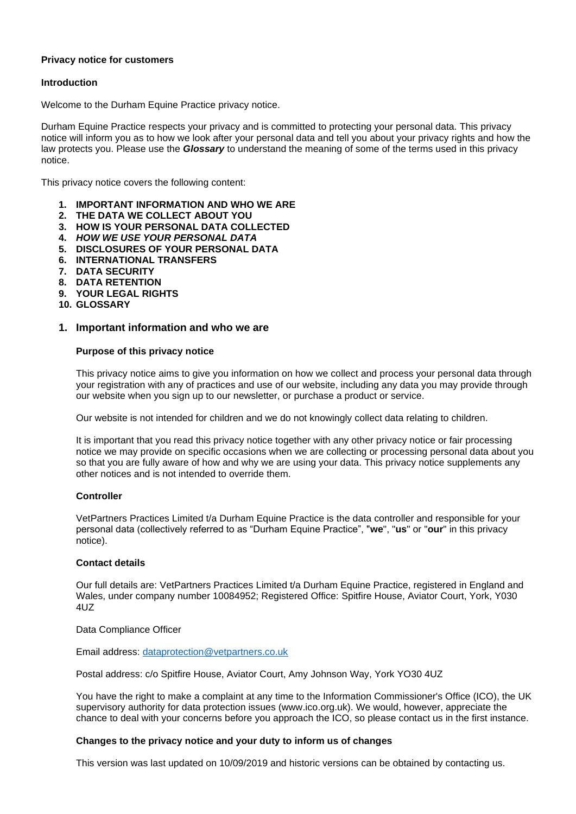### **Privacy notice for customers**

### **Introduction**

Welcome to the Durham Equine Practice privacy notice.

Durham Equine Practice respects your privacy and is committed to protecting your personal data. This privacy notice will inform you as to how we look after your personal data and tell you about your privacy rights and how the law protects you. Please use the *Glossary* to understand the meaning of some of the terms used in this privacy notice.

This privacy notice covers the following content:

- **1. IMPORTANT INFORMATION AND WHO WE ARE**
- **2. THE DATA WE COLLECT ABOUT YOU**
- **3. HOW IS YOUR PERSONAL DATA COLLECTED**
- **4.** *HOW WE USE YOUR PERSONAL DATA*
- **5. DISCLOSURES OF YOUR PERSONAL DATA**
- **6. INTERNATIONAL TRANSFERS**
- **7. DATA SECURITY**
- **8. DATA RETENTION**
- **9. YOUR LEGAL RIGHTS**
- **10. GLOSSARY**

### **1. Important information and who we are**

#### **Purpose of this privacy notice**

This privacy notice aims to give you information on how we collect and process your personal data through your registration with any of practices and use of our website, including any data you may provide through our website when you sign up to our newsletter, or purchase a product or service.

Our website is not intended for children and we do not knowingly collect data relating to children.

It is important that you read this privacy notice together with any other privacy notice or fair processing notice we may provide on specific occasions when we are collecting or processing personal data about you so that you are fully aware of how and why we are using your data. This privacy notice supplements any other notices and is not intended to override them.

#### **Controller**

VetPartners Practices Limited t/a Durham Equine Practice is the data controller and responsible for your personal data (collectively referred to as "Durham Equine Practice", "**we**", "**us**" or "**our**" in this privacy notice).

#### **Contact details**

Our full details are: VetPartners Practices Limited t/a Durham Equine Practice, registered in England and Wales, under company number 10084952; Registered Office: Spitfire House, Aviator Court, York, Y030 4UZ

#### Data Compliance Officer

Email address: [dataprotection@vetpartners.co.uk](mailto:dataprotection@vetpartners.co.uk)

Postal address: c/o Spitfire House, Aviator Court, Amy Johnson Way, York YO30 4UZ

You have the right to make a complaint at any time to the Information Commissioner's Office (ICO), the UK supervisory authority for data protection issues (www.ico.org.uk). We would, however, appreciate the chance to deal with your concerns before you approach the ICO, so please contact us in the first instance.

#### **Changes to the privacy notice and your duty to inform us of changes**

This version was last updated on 10/09/2019 and historic versions can be obtained by contacting us.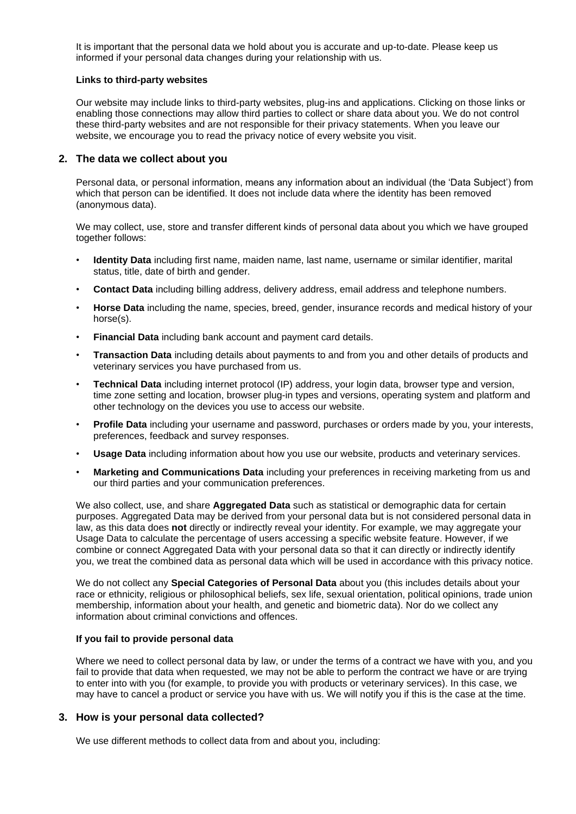It is important that the personal data we hold about you is accurate and up-to-date. Please keep us informed if your personal data changes during your relationship with us.

### **Links to third-party websites**

Our website may include links to third-party websites, plug-ins and applications. Clicking on those links or enabling those connections may allow third parties to collect or share data about you. We do not control these third-party websites and are not responsible for their privacy statements. When you leave our website, we encourage you to read the privacy notice of every website you visit.

# **2. The data we collect about you**

Personal data, or personal information, means any information about an individual (the 'Data Subject') from which that person can be identified. It does not include data where the identity has been removed (anonymous data).

We may collect, use, store and transfer different kinds of personal data about you which we have grouped together follows:

- **Identity Data** including first name, maiden name, last name, username or similar identifier, marital status, title, date of birth and gender.
- **Contact Data** including billing address, delivery address, email address and telephone numbers.
- **Horse Data** including the name, species, breed, gender, insurance records and medical history of your horse(s).
- **Financial Data** including bank account and payment card details.
- **Transaction Data** including details about payments to and from you and other details of products and veterinary services you have purchased from us.
- **Technical Data** including internet protocol (IP) address, your login data, browser type and version, time zone setting and location, browser plug-in types and versions, operating system and platform and other technology on the devices you use to access our website.
- **Profile Data** including your username and password, purchases or orders made by you, your interests, preferences, feedback and survey responses.
- **Usage Data** including information about how you use our website, products and veterinary services.
- **Marketing and Communications Data** including your preferences in receiving marketing from us and our third parties and your communication preferences.

We also collect, use, and share **Aggregated Data** such as statistical or demographic data for certain purposes. Aggregated Data may be derived from your personal data but is not considered personal data in law, as this data does **not** directly or indirectly reveal your identity. For example, we may aggregate your Usage Data to calculate the percentage of users accessing a specific website feature. However, if we combine or connect Aggregated Data with your personal data so that it can directly or indirectly identify you, we treat the combined data as personal data which will be used in accordance with this privacy notice.

We do not collect any **Special Categories of Personal Data** about you (this includes details about your race or ethnicity, religious or philosophical beliefs, sex life, sexual orientation, political opinions, trade union membership, information about your health, and genetic and biometric data). Nor do we collect any information about criminal convictions and offences.

#### **If you fail to provide personal data**

Where we need to collect personal data by law, or under the terms of a contract we have with you, and you fail to provide that data when requested, we may not be able to perform the contract we have or are trying to enter into with you (for example, to provide you with products or veterinary services). In this case, we may have to cancel a product or service you have with us. We will notify you if this is the case at the time.

# **3. How is your personal data collected?**

We use different methods to collect data from and about you, including: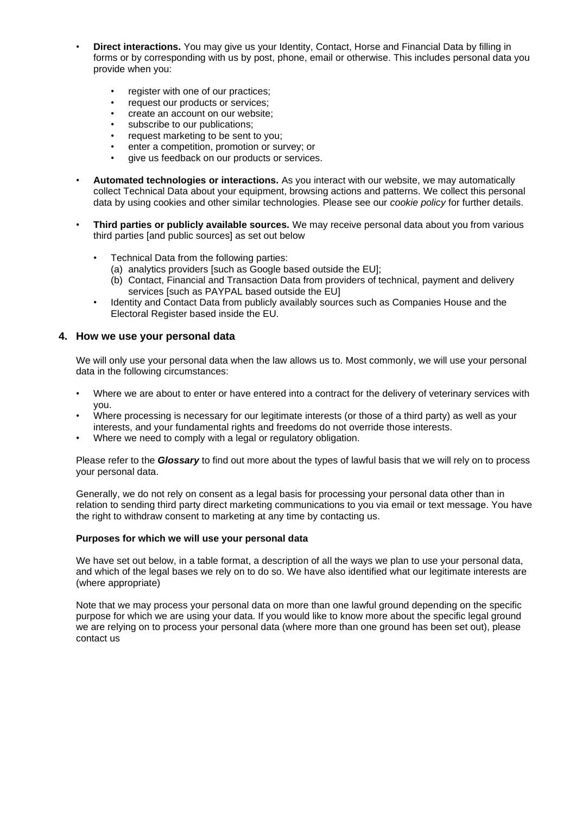- **Direct interactions.** You may give us your Identity, Contact, Horse and Financial Data by filling in forms or by corresponding with us by post, phone, email or otherwise. This includes personal data you provide when you:
	- register with one of our practices;
	- request our products or services;
	- create an account on our website;
	- subscribe to our publications:
	- request marketing to be sent to you;
	- enter a competition, promotion or survey; or
	- give us feedback on our products or services.
- **Automated technologies or interactions.** As you interact with our website, we may automatically collect Technical Data about your equipment, browsing actions and patterns. We collect this personal data by using cookies and other similar technologies. Please see our *cookie policy* for further details.
- **Third parties or publicly available sources.** We may receive personal data about you from various third parties [and public sources] as set out below
	- Technical Data from the following parties:
		- (a) analytics providers [such as Google based outside the EU];
		- (b) Contact, Financial and Transaction Data from providers of technical, payment and delivery services [such as PAYPAL based outside the EU]
	- Identity and Contact Data from publicly availably sources such as Companies House and the Electoral Register based inside the EU.

### **4. How we use your personal data**

We will only use your personal data when the law allows us to. Most commonly, we will use your personal data in the following circumstances:

- Where we are about to enter or have entered into a contract for the delivery of veterinary services with you.
- Where processing is necessary for our legitimate interests (or those of a third party) as well as your interests, and your fundamental rights and freedoms do not override those interests.
- Where we need to comply with a legal or regulatory obligation.

Please refer to the *Glossary* to find out more about the types of lawful basis that we will rely on to process your personal data.

Generally, we do not rely on consent as a legal basis for processing your personal data other than in relation to sending third party direct marketing communications to you via email or text message. You have the right to withdraw consent to marketing at any time by contacting us.

#### **Purposes for which we will use your personal data**

We have set out below, in a table format, a description of all the ways we plan to use your personal data, and which of the legal bases we rely on to do so. We have also identified what our legitimate interests are (where appropriate)

Note that we may process your personal data on more than one lawful ground depending on the specific purpose for which we are using your data. If you would like to know more about the specific legal ground we are relying on to process your personal data (where more than one ground has been set out), please contact us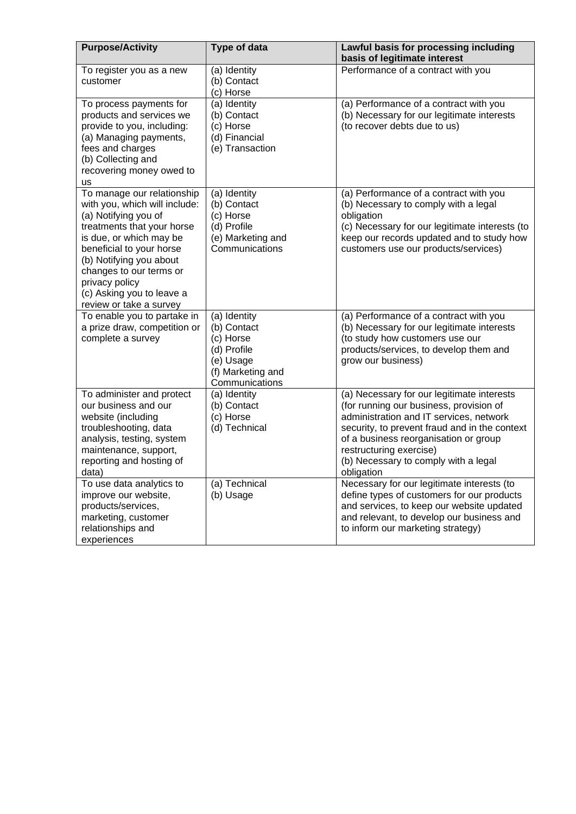| <b>Purpose/Activity</b>                                                                                                                                                                                                                                                                                  | <b>Type of data</b>                                                                                         | Lawful basis for processing including<br>basis of legitimate interest                                                                                                                                                                                                                                       |
|----------------------------------------------------------------------------------------------------------------------------------------------------------------------------------------------------------------------------------------------------------------------------------------------------------|-------------------------------------------------------------------------------------------------------------|-------------------------------------------------------------------------------------------------------------------------------------------------------------------------------------------------------------------------------------------------------------------------------------------------------------|
| To register you as a new<br>customer                                                                                                                                                                                                                                                                     | (a) Identity<br>(b) Contact<br>(c) Horse                                                                    | Performance of a contract with you                                                                                                                                                                                                                                                                          |
| To process payments for<br>products and services we<br>provide to you, including:<br>(a) Managing payments,<br>fees and charges<br>(b) Collecting and<br>recovering money owed to<br>us                                                                                                                  | (a) Identity<br>(b) Contact<br>(c) Horse<br>(d) Financial<br>(e) Transaction                                | (a) Performance of a contract with you<br>(b) Necessary for our legitimate interests<br>(to recover debts due to us)                                                                                                                                                                                        |
| To manage our relationship<br>with you, which will include:<br>(a) Notifying you of<br>treatments that your horse<br>is due, or which may be<br>beneficial to your horse<br>(b) Notifying you about<br>changes to our terms or<br>privacy policy<br>(c) Asking you to leave a<br>review or take a survey | (a) Identity<br>(b) Contact<br>(c) Horse<br>(d) Profile<br>(e) Marketing and<br>Communications              | (a) Performance of a contract with you<br>(b) Necessary to comply with a legal<br>obligation<br>(c) Necessary for our legitimate interests (to<br>keep our records updated and to study how<br>customers use our products/services)                                                                         |
| To enable you to partake in<br>a prize draw, competition or<br>complete a survey                                                                                                                                                                                                                         | (a) Identity<br>(b) Contact<br>(c) Horse<br>(d) Profile<br>(e) Usage<br>(f) Marketing and<br>Communications | (a) Performance of a contract with you<br>(b) Necessary for our legitimate interests<br>(to study how customers use our<br>products/services, to develop them and<br>grow our business)                                                                                                                     |
| To administer and protect<br>our business and our<br>website (including<br>troubleshooting, data<br>analysis, testing, system<br>maintenance, support,<br>reporting and hosting of<br>data)                                                                                                              | $(a)$ Identity<br>(b) Contact<br>(c) Horse<br>(d) Technical                                                 | (a) Necessary for our legitimate interests<br>(for running our business, provision of<br>administration and IT services, network<br>security, to prevent fraud and in the context<br>of a business reorganisation or group<br>restructuring exercise)<br>(b) Necessary to comply with a legal<br>obligation |
| To use data analytics to<br>improve our website,<br>products/services,<br>marketing, customer<br>relationships and<br>experiences                                                                                                                                                                        | (a) Technical<br>(b) Usage                                                                                  | Necessary for our legitimate interests (to<br>define types of customers for our products<br>and services, to keep our website updated<br>and relevant, to develop our business and<br>to inform our marketing strategy)                                                                                     |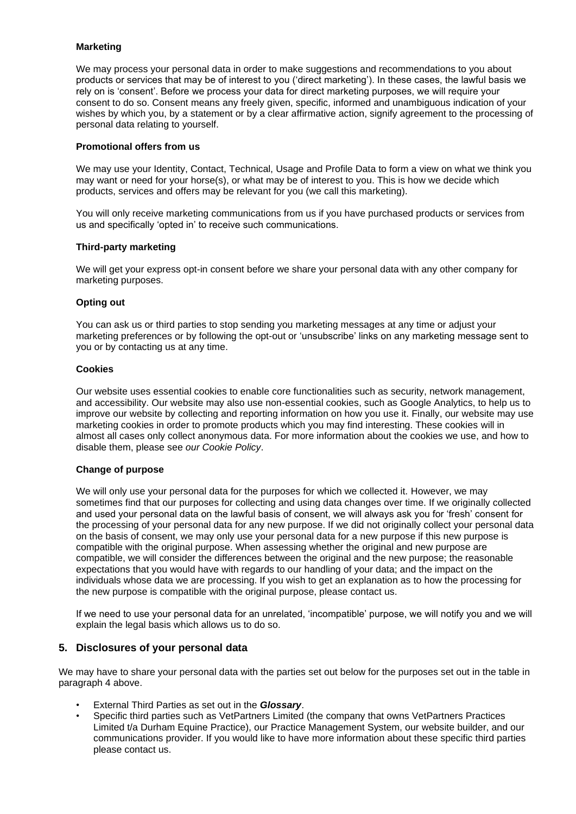# **Marketing**

We may process your personal data in order to make suggestions and recommendations to you about products or services that may be of interest to you ('direct marketing'). In these cases, the lawful basis we rely on is 'consent'. Before we process your data for direct marketing purposes, we will require your consent to do so. Consent means any freely given, specific, informed and unambiguous indication of your wishes by which you, by a statement or by a clear affirmative action, signify agreement to the processing of personal data relating to yourself.

#### **Promotional offers from us**

We may use your Identity, Contact, Technical, Usage and Profile Data to form a view on what we think you may want or need for your horse(s), or what may be of interest to you. This is how we decide which products, services and offers may be relevant for you (we call this marketing).

You will only receive marketing communications from us if you have purchased products or services from us and specifically 'opted in' to receive such communications.

#### **Third-party marketing**

We will get your express opt-in consent before we share your personal data with any other company for marketing purposes.

#### **Opting out**

You can ask us or third parties to stop sending you marketing messages at any time or adjust your marketing preferences or by following the opt-out or 'unsubscribe' links on any marketing message sent to you or by contacting us at any time.

#### **Cookies**

Our website uses essential cookies to enable core functionalities such as security, network management, and accessibility. Our website may also use non-essential cookies, such as Google Analytics, to help us to improve our website by collecting and reporting information on how you use it. Finally, our website may use marketing cookies in order to promote products which you may find interesting. These cookies will in almost all cases only collect anonymous data. For more information about the cookies we use, and how to disable them, please see *our Cookie Policy*.

#### **Change of purpose**

We will only use your personal data for the purposes for which we collected it. However, we may sometimes find that our purposes for collecting and using data changes over time. If we originally collected and used your personal data on the lawful basis of consent, we will always ask you for 'fresh' consent for the processing of your personal data for any new purpose. If we did not originally collect your personal data on the basis of consent, we may only use your personal data for a new purpose if this new purpose is compatible with the original purpose. When assessing whether the original and new purpose are compatible, we will consider the differences between the original and the new purpose; the reasonable expectations that you would have with regards to our handling of your data; and the impact on the individuals whose data we are processing. If you wish to get an explanation as to how the processing for the new purpose is compatible with the original purpose, please contact us.

If we need to use your personal data for an unrelated, 'incompatible' purpose, we will notify you and we will explain the legal basis which allows us to do so.

# **5. Disclosures of your personal data**

We may have to share your personal data with the parties set out below for the purposes set out in the table in paragraph 4 above.

- External Third Parties as set out in the *Glossary*.
- Specific third parties such as VetPartners Limited (the company that owns VetPartners Practices Limited t/a Durham Equine Practice), our Practice Management System, our website builder, and our communications provider. If you would like to have more information about these specific third parties please contact us.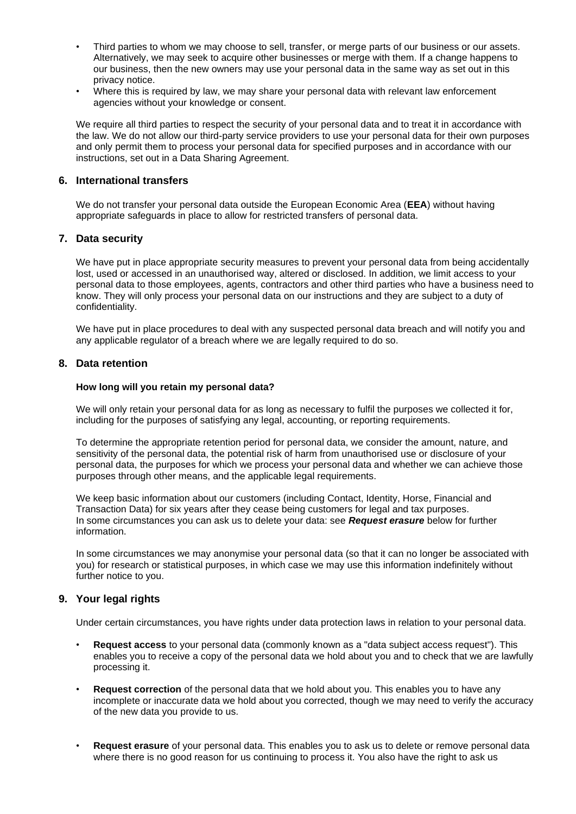- Third parties to whom we may choose to sell, transfer, or merge parts of our business or our assets. Alternatively, we may seek to acquire other businesses or merge with them. If a change happens to our business, then the new owners may use your personal data in the same way as set out in this privacy notice.
- Where this is required by law, we may share your personal data with relevant law enforcement agencies without your knowledge or consent.

We require all third parties to respect the security of your personal data and to treat it in accordance with the law. We do not allow our third-party service providers to use your personal data for their own purposes and only permit them to process your personal data for specified purposes and in accordance with our instructions, set out in a Data Sharing Agreement.

# **6. International transfers**

We do not transfer your personal data outside the European Economic Area (**EEA**) without having appropriate safeguards in place to allow for restricted transfers of personal data.

# **7. Data security**

We have put in place appropriate security measures to prevent your personal data from being accidentally lost, used or accessed in an unauthorised way, altered or disclosed. In addition, we limit access to your personal data to those employees, agents, contractors and other third parties who have a business need to know. They will only process your personal data on our instructions and they are subject to a duty of confidentiality.

We have put in place procedures to deal with any suspected personal data breach and will notify you and any applicable regulator of a breach where we are legally required to do so.

# **8. Data retention**

#### **How long will you retain my personal data?**

We will only retain your personal data for as long as necessary to fulfil the purposes we collected it for, including for the purposes of satisfying any legal, accounting, or reporting requirements.

To determine the appropriate retention period for personal data, we consider the amount, nature, and sensitivity of the personal data, the potential risk of harm from unauthorised use or disclosure of your personal data, the purposes for which we process your personal data and whether we can achieve those purposes through other means, and the applicable legal requirements.

We keep basic information about our customers (including Contact, Identity, Horse, Financial and Transaction Data) for six years after they cease being customers for legal and tax purposes. In some circumstances you can ask us to delete your data: see *Request erasure* below for further information.

In some circumstances we may anonymise your personal data (so that it can no longer be associated with you) for research or statistical purposes, in which case we may use this information indefinitely without further notice to you.

# **9. Your legal rights**

Under certain circumstances, you have rights under data protection laws in relation to your personal data.

- **Request access** to your personal data (commonly known as a "data subject access request"). This enables you to receive a copy of the personal data we hold about you and to check that we are lawfully processing it.
- **Request correction** of the personal data that we hold about you. This enables you to have any incomplete or inaccurate data we hold about you corrected, though we may need to verify the accuracy of the new data you provide to us.
- **Request erasure** of your personal data. This enables you to ask us to delete or remove personal data where there is no good reason for us continuing to process it. You also have the right to ask us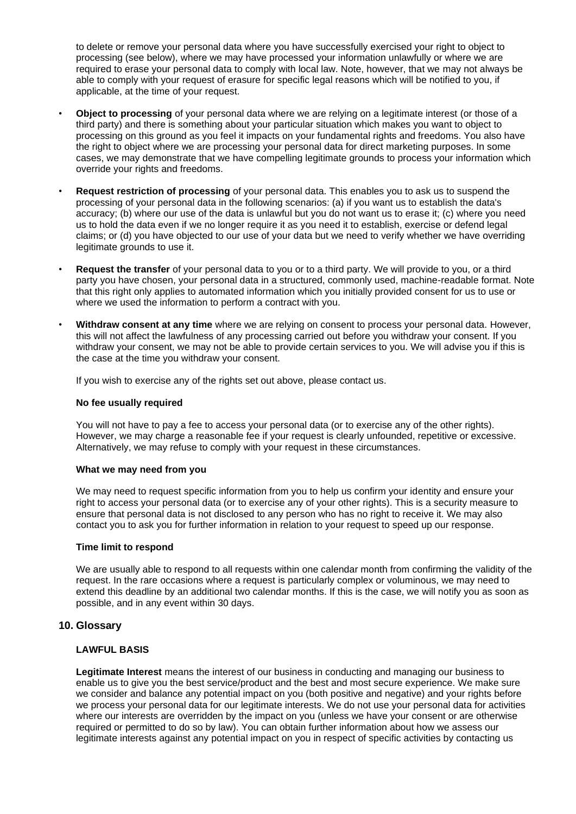to delete or remove your personal data where you have successfully exercised your right to object to processing (see below), where we may have processed your information unlawfully or where we are required to erase your personal data to comply with local law. Note, however, that we may not always be able to comply with your request of erasure for specific legal reasons which will be notified to you, if applicable, at the time of your request.

- **Object to processing** of your personal data where we are relying on a legitimate interest (or those of a third party) and there is something about your particular situation which makes you want to object to processing on this ground as you feel it impacts on your fundamental rights and freedoms. You also have the right to object where we are processing your personal data for direct marketing purposes. In some cases, we may demonstrate that we have compelling legitimate grounds to process your information which override your rights and freedoms.
- **Request restriction of processing** of your personal data. This enables you to ask us to suspend the processing of your personal data in the following scenarios: (a) if you want us to establish the data's accuracy; (b) where our use of the data is unlawful but you do not want us to erase it; (c) where you need us to hold the data even if we no longer require it as you need it to establish, exercise or defend legal claims; or (d) you have objected to our use of your data but we need to verify whether we have overriding legitimate grounds to use it.
- **Request the transfer** of your personal data to you or to a third party. We will provide to you, or a third party you have chosen, your personal data in a structured, commonly used, machine-readable format. Note that this right only applies to automated information which you initially provided consent for us to use or where we used the information to perform a contract with you.
- **Withdraw consent at any time** where we are relying on consent to process your personal data. However, this will not affect the lawfulness of any processing carried out before you withdraw your consent. If you withdraw your consent, we may not be able to provide certain services to you. We will advise you if this is the case at the time you withdraw your consent.

If you wish to exercise any of the rights set out above, please contact us.

#### **No fee usually required**

You will not have to pay a fee to access your personal data (or to exercise any of the other rights). However, we may charge a reasonable fee if your request is clearly unfounded, repetitive or excessive. Alternatively, we may refuse to comply with your request in these circumstances.

#### **What we may need from you**

We may need to request specific information from you to help us confirm your identity and ensure your right to access your personal data (or to exercise any of your other rights). This is a security measure to ensure that personal data is not disclosed to any person who has no right to receive it. We may also contact you to ask you for further information in relation to your request to speed up our response.

#### **Time limit to respond**

We are usually able to respond to all requests within one calendar month from confirming the validity of the request. In the rare occasions where a request is particularly complex or voluminous, we may need to extend this deadline by an additional two calendar months. If this is the case, we will notify you as soon as possible, and in any event within 30 days.

#### **10. Glossary**

### **LAWFUL BASIS**

**Legitimate Interest** means the interest of our business in conducting and managing our business to enable us to give you the best service/product and the best and most secure experience. We make sure we consider and balance any potential impact on you (both positive and negative) and your rights before we process your personal data for our legitimate interests. We do not use your personal data for activities where our interests are overridden by the impact on you (unless we have your consent or are otherwise required or permitted to do so by law). You can obtain further information about how we assess our legitimate interests against any potential impact on you in respect of specific activities by contacting us